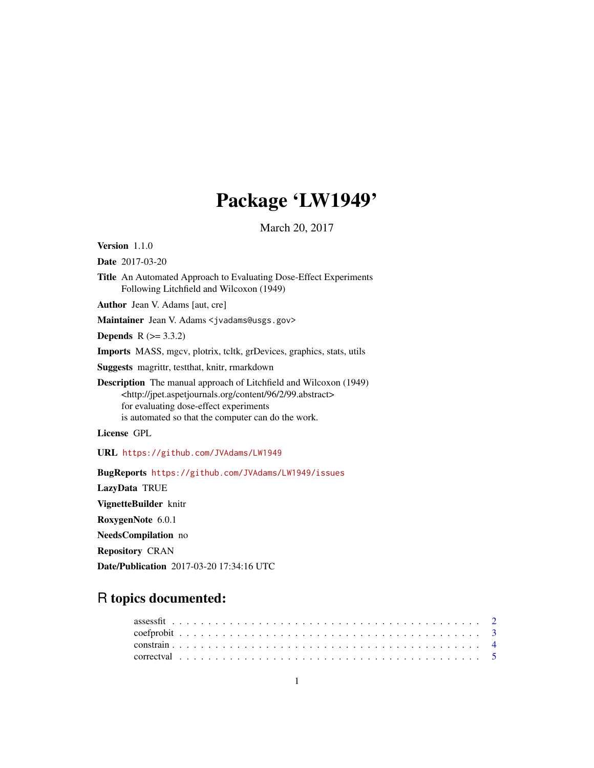# Package 'LW1949'

March 20, 2017

<span id="page-0-0"></span>Version 1.1.0

Date 2017-03-20

Title An Automated Approach to Evaluating Dose-Effect Experiments Following Litchfield and Wilcoxon (1949)

Author Jean V. Adams [aut, cre]

Maintainer Jean V. Adams <jvadams@usgs.gov>

**Depends**  $R$  ( $>= 3.3.2$ )

Imports MASS, mgcv, plotrix, tcltk, grDevices, graphics, stats, utils

Suggests magrittr, testthat, knitr, rmarkdown

Description The manual approach of Litchfield and Wilcoxon (1949) <http://jpet.aspetjournals.org/content/96/2/99.abstract> for evaluating dose-effect experiments is automated so that the computer can do the work.

License GPL

URL <https://github.com/JVAdams/LW1949>

BugReports <https://github.com/JVAdams/LW1949/issues>

LazyData TRUE

VignetteBuilder knitr

RoxygenNote 6.0.1

NeedsCompilation no

Repository CRAN

Date/Publication 2017-03-20 17:34:16 UTC

# R topics documented: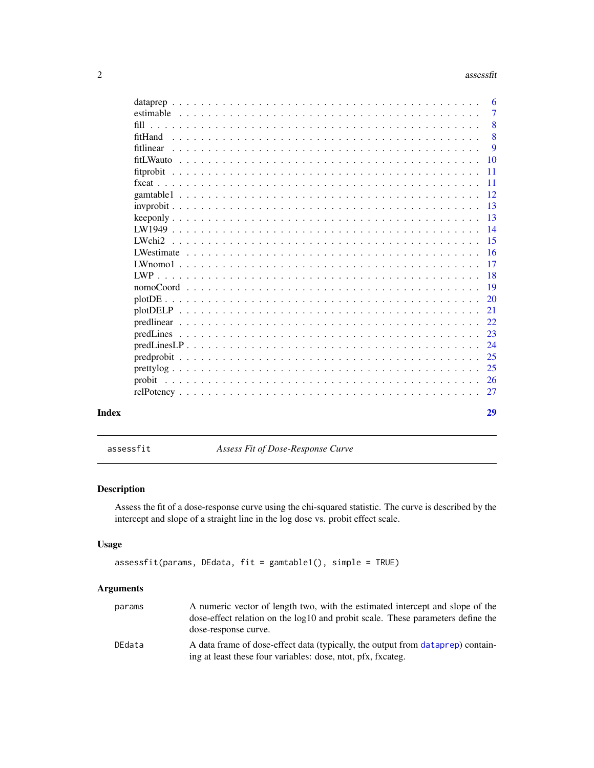#### 2 assessfit

|       | data preparamente da contra contra contra contra contra contra contra contra contra contra contra contra contra contra contra contra contra contra contra contra contra contra contra contra contra contra contra contra cont | -6              |
|-------|-------------------------------------------------------------------------------------------------------------------------------------------------------------------------------------------------------------------------------|-----------------|
|       |                                                                                                                                                                                                                               | $\overline{7}$  |
|       |                                                                                                                                                                                                                               | 8               |
|       |                                                                                                                                                                                                                               | 8               |
|       |                                                                                                                                                                                                                               | 9               |
|       |                                                                                                                                                                                                                               | <b>10</b>       |
|       |                                                                                                                                                                                                                               | 11              |
|       |                                                                                                                                                                                                                               | $\overline{11}$ |
|       |                                                                                                                                                                                                                               |                 |
|       |                                                                                                                                                                                                                               | -13             |
|       |                                                                                                                                                                                                                               | -13             |
|       |                                                                                                                                                                                                                               |                 |
|       | LWchi2                                                                                                                                                                                                                        |                 |
|       |                                                                                                                                                                                                                               | -16             |
|       |                                                                                                                                                                                                                               | -17             |
|       |                                                                                                                                                                                                                               |                 |
|       |                                                                                                                                                                                                                               |                 |
|       |                                                                                                                                                                                                                               | -20             |
|       |                                                                                                                                                                                                                               | 21              |
|       |                                                                                                                                                                                                                               | 22.             |
|       |                                                                                                                                                                                                                               | 23              |
|       |                                                                                                                                                                                                                               | 24              |
|       |                                                                                                                                                                                                                               | 25              |
|       |                                                                                                                                                                                                                               | 25              |
|       |                                                                                                                                                                                                                               |                 |
|       |                                                                                                                                                                                                                               | 27              |
| Index |                                                                                                                                                                                                                               | 29              |

assessfit *Assess Fit of Dose-Response Curve*

# Description

Assess the fit of a dose-response curve using the chi-squared statistic. The curve is described by the intercept and slope of a straight line in the log dose vs. probit effect scale.

# Usage

```
assessfit(params, DEdata, fit = gamtable1(), simple = TRUE)
```
# Arguments

| params | A numeric vector of length two, with the estimated intercept and slope of the<br>dose-effect relation on the $log10$ and probit scale. These parameters define the<br>dose-response curve. |
|--------|--------------------------------------------------------------------------------------------------------------------------------------------------------------------------------------------|
| DEdata | A data frame of dose-effect data (typically, the output from dataprep) contain-<br>ing at least these four variables: dose, ntot, pfx, fxcateg.                                            |

<span id="page-1-0"></span>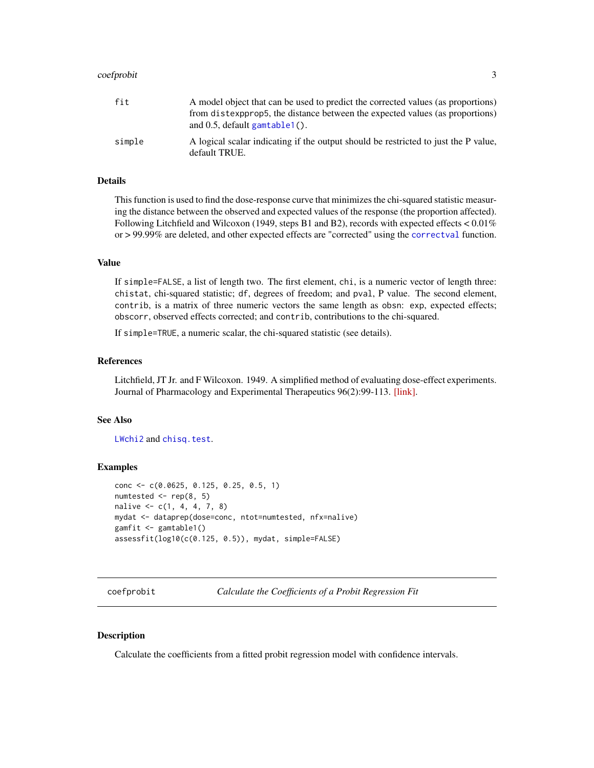#### <span id="page-2-0"></span>coefprobit 3

| fit    | A model object that can be used to predict the corrected values (as proportions)<br>from distexportions, the distance between the expected values (as proportions) |
|--------|--------------------------------------------------------------------------------------------------------------------------------------------------------------------|
|        | and $0.5$ , default gamtable $1()$ .                                                                                                                               |
| simple | A logical scalar indicating if the output should be restricted to just the P value.<br>default TRUE.                                                               |

# Details

This function is used to find the dose-response curve that minimizes the chi-squared statistic measuring the distance between the observed and expected values of the response (the proportion affected). Following Litchfield and Wilcoxon (1949, steps B1 and B2), records with expected effects  $< 0.01\%$ or > 99.99% are deleted, and other expected effects are "corrected" using the [correctval](#page-4-1) function.

#### Value

If simple=FALSE, a list of length two. The first element, chi, is a numeric vector of length three: chistat, chi-squared statistic; df, degrees of freedom; and pval, P value. The second element, contrib, is a matrix of three numeric vectors the same length as obsn: exp, expected effects; obscorr, observed effects corrected; and contrib, contributions to the chi-squared.

If simple=TRUE, a numeric scalar, the chi-squared statistic (see details).

#### References

Litchfield, JT Jr. and F Wilcoxon. 1949. A simplified method of evaluating dose-effect experiments. Journal of Pharmacology and Experimental Therapeutics 96(2):99-113. [\[link\].](http://jpet.aspetjournals.org/content/96/2/99.abstract)

#### See Also

[LWchi2](#page-14-1) and [chisq.test](#page-0-0).

## Examples

```
conc <- c(0.0625, 0.125, 0.25, 0.5, 1)
numtested <- rep(8, 5)
nalive \leq c(1, 4, 4, 7, 8)mydat <- dataprep(dose=conc, ntot=numtested, nfx=nalive)
gamfit <- gamtable1()
assessfit(log10(c(0.125, 0.5)), mydat, simple=FALSE)
```
coefprobit *Calculate the Coefficients of a Probit Regression Fit*

# Description

Calculate the coefficients from a fitted probit regression model with confidence intervals.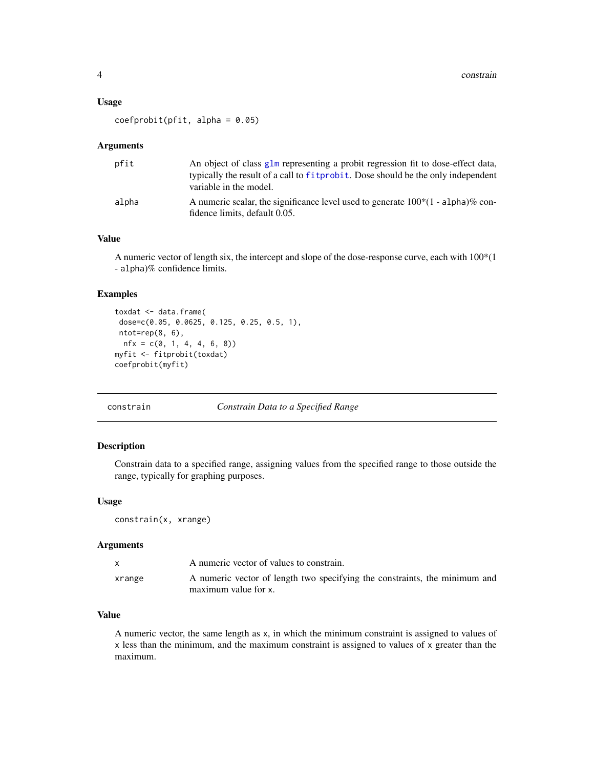#### <span id="page-3-0"></span>Usage

 $coefprobit(pfit, alpha = 0.05)$ 

#### Arguments

| pfit  | An object of class glm representing a probit regression fit to dose-effect data,<br>typically the result of a call to fit probit. Dose should be the only independent<br>variable in the model. |
|-------|-------------------------------------------------------------------------------------------------------------------------------------------------------------------------------------------------|
| alpha | A numeric scalar, the significance level used to generate $100*(1 - alpha)\%$ con-<br>fidence limits, default 0.05.                                                                             |

# Value

A numeric vector of length six, the intercept and slope of the dose-response curve, each with 100\*(1 - alpha)% confidence limits.

# Examples

```
toxdat <- data.frame(
dose=c(0.05, 0.0625, 0.125, 0.25, 0.5, 1),
ntot=rep(8, 6),
 nfx = c(0, 1, 4, 4, 6, 8)myfit <- fitprobit(toxdat)
coefprobit(myfit)
```
#### <span id="page-3-1"></span>constrain *Constrain Data to a Specified Range*

# Description

Constrain data to a specified range, assigning values from the specified range to those outside the range, typically for graphing purposes.

#### Usage

constrain(x, xrange)

#### Arguments

|        | A numeric vector of values to constrain.                                                           |
|--------|----------------------------------------------------------------------------------------------------|
| xrange | A numeric vector of length two specifying the constraints, the minimum and<br>maximum value for x. |

# Value

A numeric vector, the same length as x, in which the minimum constraint is assigned to values of x less than the minimum, and the maximum constraint is assigned to values of x greater than the maximum.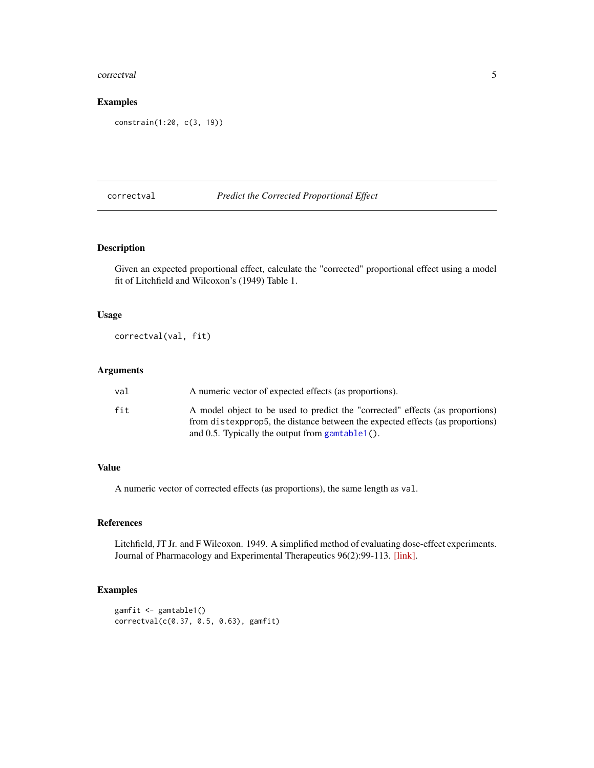#### <span id="page-4-0"></span>correctval 5

# Examples

constrain(1:20, c(3, 19))

# <span id="page-4-1"></span>correctval *Predict the Corrected Proportional Effect*

# Description

Given an expected proportional effect, calculate the "corrected" proportional effect using a model fit of Litchfield and Wilcoxon's (1949) Table 1.

# Usage

correctval(val, fit)

#### Arguments

| val | A numeric vector of expected effects (as proportions).                                                                                                         |
|-----|----------------------------------------------------------------------------------------------------------------------------------------------------------------|
| fit | A model object to be used to predict the "corrected" effects (as proportions)<br>from distexportion the distance between the expected effects (as proportions) |
|     | and 0.5. Typically the output from gamtable $1()$ .                                                                                                            |

# Value

A numeric vector of corrected effects (as proportions), the same length as val.

# References

Litchfield, JT Jr. and F Wilcoxon. 1949. A simplified method of evaluating dose-effect experiments. Journal of Pharmacology and Experimental Therapeutics 96(2):99-113. [\[link\].](http://jpet.aspetjournals.org/content/96/2/99.abstract)

```
gamfit <- gamtable1()
correctval(c(0.37, 0.5, 0.63), gamfit)
```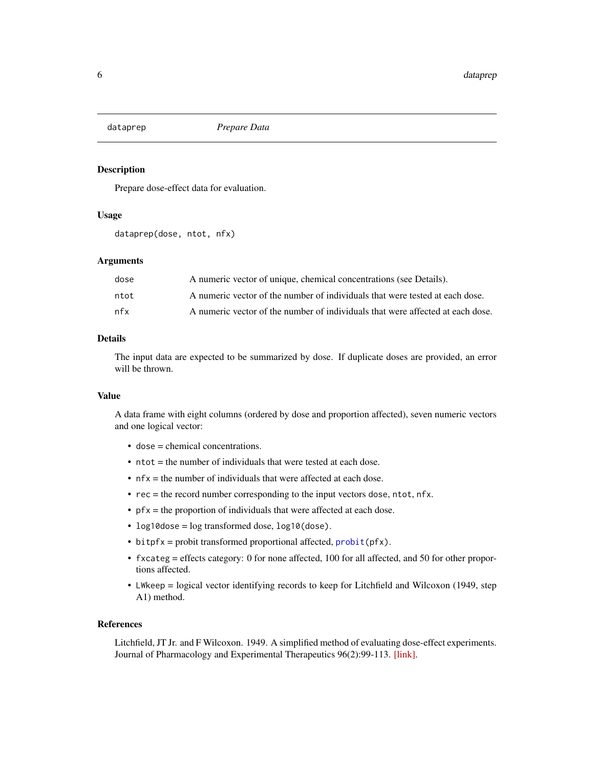<span id="page-5-1"></span><span id="page-5-0"></span>

Prepare dose-effect data for evaluation.

#### Usage

```
dataprep(dose, ntot, nfx)
```
# Arguments

| dose | A numeric vector of unique, chemical concentrations (see Details).             |
|------|--------------------------------------------------------------------------------|
| ntot | A numeric vector of the number of individuals that were tested at each dose.   |
| nfx  | A numeric vector of the number of individuals that were affected at each dose. |

# Details

The input data are expected to be summarized by dose. If duplicate doses are provided, an error will be thrown.

#### Value

A data frame with eight columns (ordered by dose and proportion affected), seven numeric vectors and one logical vector:

- dose = chemical concentrations.
- ntot = the number of individuals that were tested at each dose.
- nfx = the number of individuals that were affected at each dose.
- rec = the record number corresponding to the input vectors dose, ntot, nfx.
- pfx = the proportion of individuals that were affected at each dose.
- log10dose = log transformed dose, log10(dose).
- $\bullet$  bitpfx = probit transformed proportional affected,  $\text{probit}(\text{pfx})$ .
- fxcateg = effects category: 0 for none affected, 100 for all affected, and 50 for other proportions affected.
- LWkeep = logical vector identifying records to keep for Litchfield and Wilcoxon (1949, step A1) method.

#### References

Litchfield, JT Jr. and F Wilcoxon. 1949. A simplified method of evaluating dose-effect experiments. Journal of Pharmacology and Experimental Therapeutics 96(2):99-113. [\[link\].](http://jpet.aspetjournals.org/content/96/2/99.abstract)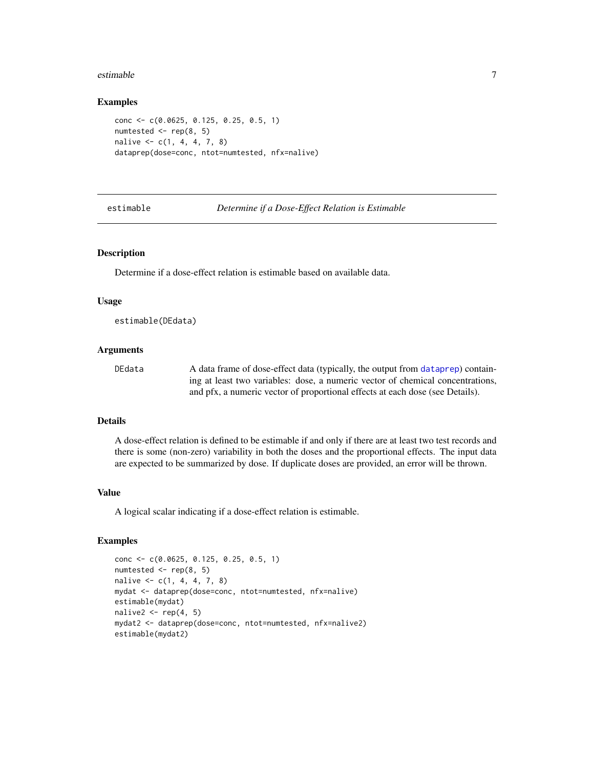#### <span id="page-6-0"></span>estimable 7 and 7 and 7 and 7 and 7 and 7 and 7 and 7 and 7 and 7 and 7 and 7 and 7 and 7 and 7 and 7 and 7 and 7 and 7 and 7 and 7 and 7 and 7 and 7 and 7 and 7 and 7 and 7 and 7 and 7 and 7 and 7 and 7 and 7 and 7 and 7

#### Examples

```
conc <- c(0.0625, 0.125, 0.25, 0.5, 1)
numtested <- rep(8, 5)
nalive \leq c(1, 4, 4, 7, 8)dataprep(dose=conc, ntot=numtested, nfx=nalive)
```
estimable *Determine if a Dose-Effect Relation is Estimable*

#### Description

Determine if a dose-effect relation is estimable based on available data.

#### Usage

estimable(DEdata)

#### Arguments

DEdata A data frame of dose-effect data (typically, the output from [dataprep](#page-5-1)) containing at least two variables: dose, a numeric vector of chemical concentrations, and pfx, a numeric vector of proportional effects at each dose (see Details).

# Details

A dose-effect relation is defined to be estimable if and only if there are at least two test records and there is some (non-zero) variability in both the doses and the proportional effects. The input data are expected to be summarized by dose. If duplicate doses are provided, an error will be thrown.

#### Value

A logical scalar indicating if a dose-effect relation is estimable.

```
conc <- c(0.0625, 0.125, 0.25, 0.5, 1)
numtested <- rep(8, 5)
nalive \leq c(1, 4, 4, 7, 8)mydat <- dataprep(dose=conc, ntot=numtested, nfx=nalive)
estimable(mydat)
nalive2 \leq rep(4, 5)
mydat2 <- dataprep(dose=conc, ntot=numtested, nfx=nalive2)
estimable(mydat2)
```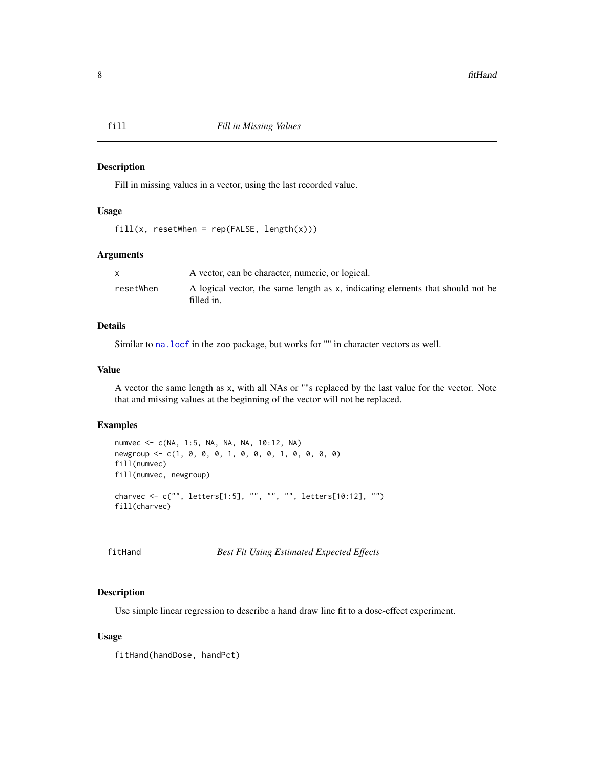Fill in missing values in a vector, using the last recorded value.

#### Usage

```
fill(x, resultWhen = rep(FALSE, length(x)))
```
# Arguments

|           | A vector, can be character, numeric, or logical.                                             |
|-----------|----------------------------------------------------------------------------------------------|
| resetWhen | A logical vector, the same length as x, indicating elements that should not be<br>filled in. |

# Details

Similar to [na.locf](#page-0-0) in the zoo package, but works for "" in character vectors as well.

# Value

A vector the same length as x, with all NAs or ""s replaced by the last value for the vector. Note that and missing values at the beginning of the vector will not be replaced.

#### Examples

```
numvec <- c(NA, 1:5, NA, NA, NA, 10:12, NA)
newgroup <- c(1, 0, 0, 0, 1, 0, 0, 0, 1, 0, 0, 0, 0)
fill(numvec)
fill(numvec, newgroup)
charvec <- c("", letters[1:5], "", "", "", letters[10:12], "")
fill(charvec)
```
fitHand *Best Fit Using Estimated Expected Effects*

# Description

Use simple linear regression to describe a hand draw line fit to a dose-effect experiment.

#### Usage

fitHand(handDose, handPct)

<span id="page-7-0"></span>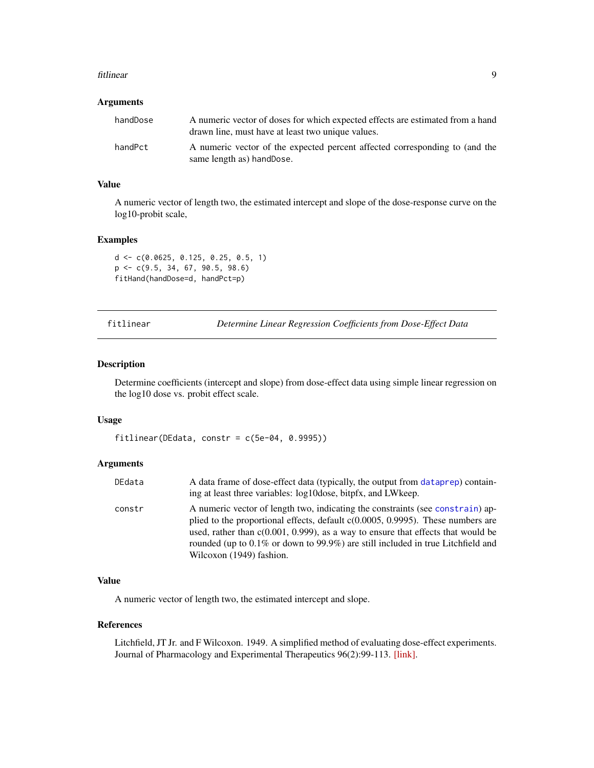#### <span id="page-8-0"></span>fitlinear 9

#### Arguments

| handDose | A numeric vector of doses for which expected effects are estimated from a hand<br>drawn line, must have at least two unique values. |
|----------|-------------------------------------------------------------------------------------------------------------------------------------|
| handPct  | A numeric vector of the expected percent affected corresponding to (and the<br>same length as hand Dose.                            |

#### Value

A numeric vector of length two, the estimated intercept and slope of the dose-response curve on the log10-probit scale,

# Examples

```
d <- c(0.0625, 0.125, 0.25, 0.5, 1)
p <- c(9.5, 34, 67, 90.5, 98.6)
fitHand(handDose=d, handPct=p)
```
fitlinear *Determine Linear Regression Coefficients from Dose-Effect Data*

#### Description

Determine coefficients (intercept and slope) from dose-effect data using simple linear regression on the log10 dose vs. probit effect scale.

#### Usage

fitlinear(DEdata, constr =  $c(5e-04, 0.9995)$ )

# Arguments

| DEdata | A data frame of dose-effect data (typically, the output from dataprep) contain-<br>ing at least three variables: log10dose, bitpfx, and LWkeep.                                                                                                                                                                                                                            |
|--------|----------------------------------------------------------------------------------------------------------------------------------------------------------------------------------------------------------------------------------------------------------------------------------------------------------------------------------------------------------------------------|
| constr | A numeric vector of length two, indicating the constraints (see constrain) ap-<br>plied to the proportional effects, default $c(0.0005, 0.9995)$ . These numbers are<br>used, rather than $c(0.001, 0.999)$ , as a way to ensure that effects that would be<br>rounded (up to 0.1% or down to 99.9%) are still included in true Litchfield and<br>Wilcoxon (1949) fashion. |

# Value

A numeric vector of length two, the estimated intercept and slope.

# References

Litchfield, JT Jr. and F Wilcoxon. 1949. A simplified method of evaluating dose-effect experiments. Journal of Pharmacology and Experimental Therapeutics 96(2):99-113. [\[link\].](http://jpet.aspetjournals.org/content/96/2/99.abstract)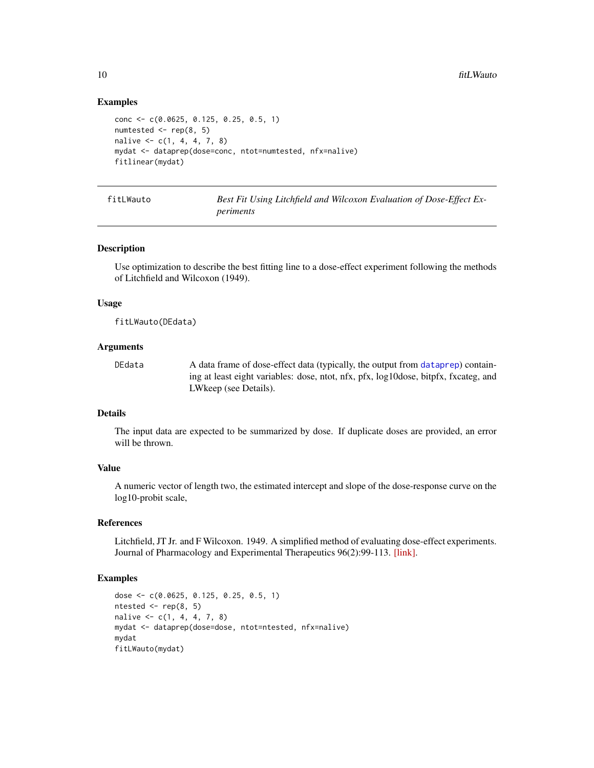## Examples

```
conc <- c(0.0625, 0.125, 0.25, 0.5, 1)
numtested \leq rep(8, 5)
nalive \leq c(1, 4, 4, 7, 8)mydat <- dataprep(dose=conc, ntot=numtested, nfx=nalive)
fitlinear(mydat)
```
<span id="page-9-1"></span>fitLWauto *Best Fit Using Litchfield and Wilcoxon Evaluation of Dose-Effect Experiments*

#### Description

Use optimization to describe the best fitting line to a dose-effect experiment following the methods of Litchfield and Wilcoxon (1949).

#### Usage

fitLWauto(DEdata)

# Arguments

DEdata A data frame of dose-effect data (typically, the output from [dataprep](#page-5-1)) containing at least eight variables: dose, ntot, nfx, pfx, log10dose, bitpfx, fxcateg, and LWkeep (see Details).

# Details

The input data are expected to be summarized by dose. If duplicate doses are provided, an error will be thrown.

#### Value

A numeric vector of length two, the estimated intercept and slope of the dose-response curve on the log10-probit scale,

# References

Litchfield, JT Jr. and F Wilcoxon. 1949. A simplified method of evaluating dose-effect experiments. Journal of Pharmacology and Experimental Therapeutics 96(2):99-113. [\[link\].](http://jpet.aspetjournals.org/content/96/2/99.abstract)

```
dose <- c(0.0625, 0.125, 0.25, 0.5, 1)
ntested \leq rep(8, 5)
nalive \leq -c(1, 4, 4, 7, 8)mydat <- dataprep(dose=dose, ntot=ntested, nfx=nalive)
mydat
fitLWauto(mydat)
```
<span id="page-9-0"></span>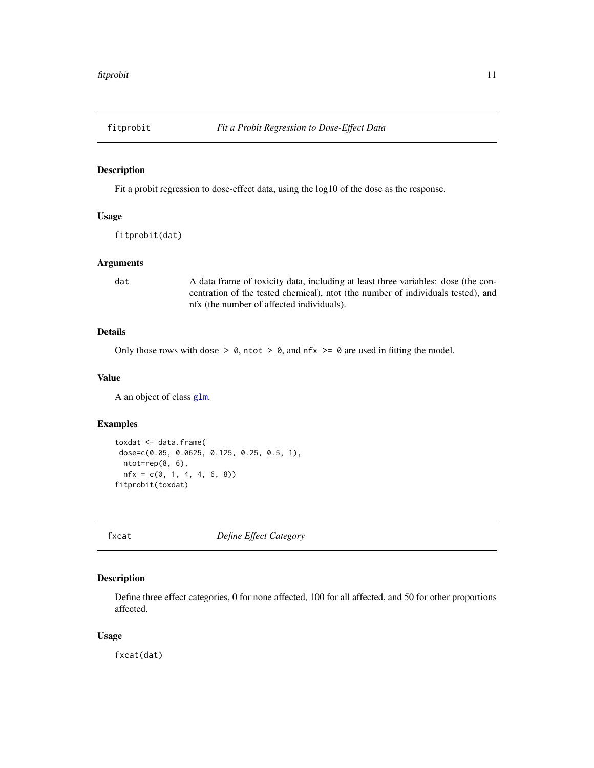<span id="page-10-1"></span><span id="page-10-0"></span>

Fit a probit regression to dose-effect data, using the log10 of the dose as the response.

#### Usage

fitprobit(dat)

# Arguments

dat A data frame of toxicity data, including at least three variables: dose (the concentration of the tested chemical), ntot (the number of individuals tested), and nfx (the number of affected individuals).

# Details

Only those rows with dose  $> 0$ , ntot  $> 0$ , and nfx  $>= 0$  are used in fitting the model.

#### Value

A an object of class [glm](#page-0-0).

#### Examples

```
toxdat <- data.frame(
dose=c(0.05, 0.0625, 0.125, 0.25, 0.5, 1),
 ntot=rep(8, 6),
 nfx = c(0, 1, 4, 4, 6, 8))fitprobit(toxdat)
```
fxcat *Define Effect Category*

# Description

Define three effect categories, 0 for none affected, 100 for all affected, and 50 for other proportions affected.

# Usage

fxcat(dat)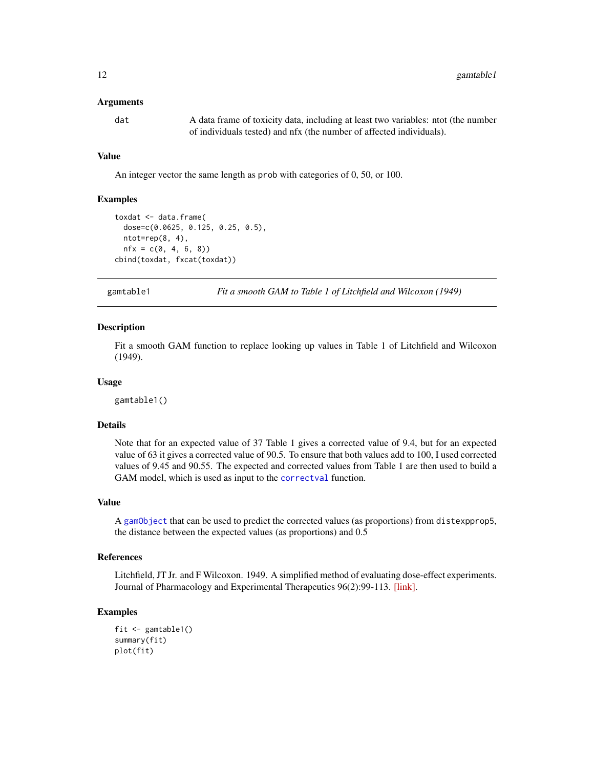#### <span id="page-11-0"></span>Arguments

dat A data frame of toxicity data, including at least two variables: ntot (the number of individuals tested) and nfx (the number of affected individuals).

#### Value

An integer vector the same length as prob with categories of 0, 50, or 100.

#### Examples

```
toxdat <- data.frame(
 dose=c(0.0625, 0.125, 0.25, 0.5),
 ntot=rep(8, 4),
 nfx = c(0, 4, 6, 8)cbind(toxdat, fxcat(toxdat))
```
gamtable1 *Fit a smooth GAM to Table 1 of Litchfield and Wilcoxon (1949)*

#### Description

Fit a smooth GAM function to replace looking up values in Table 1 of Litchfield and Wilcoxon (1949).

#### Usage

gamtable1()

#### Details

Note that for an expected value of 37 Table 1 gives a corrected value of 9.4, but for an expected value of 63 it gives a corrected value of 90.5. To ensure that both values add to 100, I used corrected values of 9.45 and 90.55. The expected and corrected values from Table 1 are then used to build a GAM model, which is used as input to the [correctval](#page-4-1) function.

### Value

A [gamObject](#page-0-0) that can be used to predict the corrected values (as proportions) from distexpprop5, the distance between the expected values (as proportions) and 0.5

#### References

Litchfield, JT Jr. and F Wilcoxon. 1949. A simplified method of evaluating dose-effect experiments. Journal of Pharmacology and Experimental Therapeutics 96(2):99-113. [\[link\].](http://jpet.aspetjournals.org/content/96/2/99.abstract)

```
fit <- gamtable1()
summary(fit)
plot(fit)
```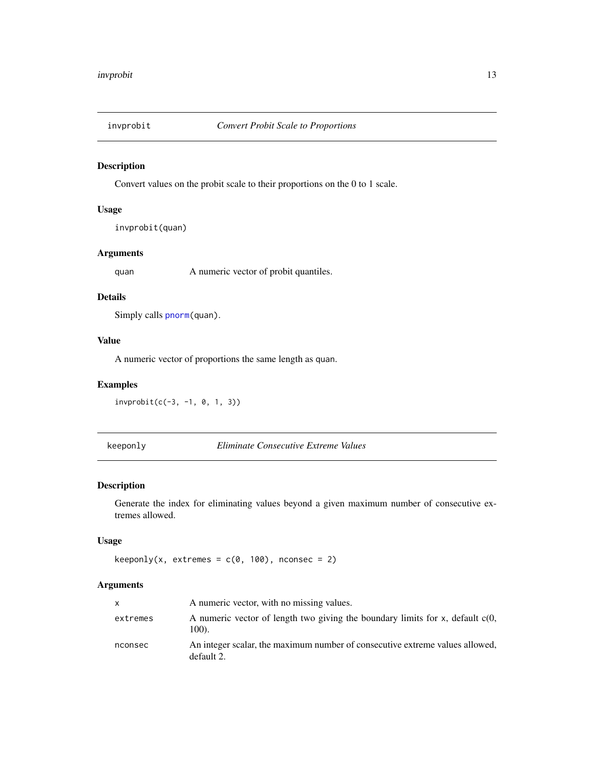<span id="page-12-0"></span>

Convert values on the probit scale to their proportions on the 0 to 1 scale.

# Usage

invprobit(quan)

# Arguments

quan A numeric vector of probit quantiles.

# Details

Simply calls [pnorm\(](#page-0-0)quan).

# Value

A numeric vector of proportions the same length as quan.

# Examples

invprobit(c(-3, -1, 0, 1, 3))

keeponly *Eliminate Consecutive Extreme Values*

# Description

Generate the index for eliminating values beyond a given maximum number of consecutive extremes allowed.

# Usage

```
keeponly(x, extremes = c(0, 100), nconsec = 2)
```
# Arguments

| X        | A numeric vector, with no missing values.                                                  |
|----------|--------------------------------------------------------------------------------------------|
| extremes | A numeric vector of length two giving the boundary limits for x, default $c(0,$<br>100).   |
| nconsec  | An integer scalar, the maximum number of consecutive extreme values allowed,<br>default 2. |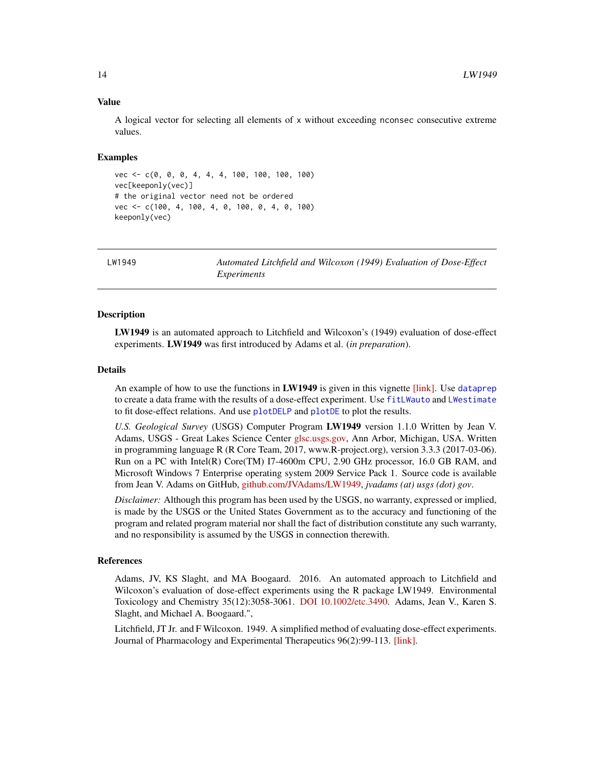#### Value

A logical vector for selecting all elements of x without exceeding nconsec consecutive extreme values.

#### Examples

```
vec <- c(0, 0, 0, 4, 4, 4, 100, 100, 100, 100)
vec[keeponly(vec)]
# the original vector need not be ordered
vec <- c(100, 4, 100, 4, 0, 100, 0, 4, 0, 100)
keeponly(vec)
```
LW1949 *Automated Litchfield and Wilcoxon (1949) Evaluation of Dose-Effect Experiments*

#### Description

LW1949 is an automated approach to Litchfield and Wilcoxon's (1949) evaluation of dose-effect experiments. LW1949 was first introduced by Adams et al. (*in preparation*).

#### Details

An example of how to use the functions in LW1949 is given in this vignette [\[link\].](https://rawgit.com/JVAdams/LW1949/master/vignettes/Intro.html) Use [dataprep](#page-5-1) to create a data frame with the results of a dose-effect experiment. Use [fitLWauto](#page-9-1) and [LWestimate](#page-15-1) to fit dose-effect relations. And use [plotDELP](#page-20-1) and [plotDE](#page-19-1) to plot the results.

*U.S. Geological Survey* (USGS) Computer Program LW1949 version 1.1.0 Written by Jean V. Adams, USGS - Great Lakes Science Center [glsc.usgs.gov,](http://www.glsc.usgs.gov/) Ann Arbor, Michigan, USA. Written in programming language R (R Core Team, 2017, www.R-project.org), version 3.3.3 (2017-03-06). Run on a PC with Intel(R) Core(TM) I7-4600m CPU, 2.90 GHz processor, 16.0 GB RAM, and Microsoft Windows 7 Enterprise operating system 2009 Service Pack 1. Source code is available from Jean V. Adams on GitHub, [github.com/JVAdams/LW1949,](https://github.com/JVAdams/LW1949) *jvadams (at) usgs (dot) gov*.

*Disclaimer:* Although this program has been used by the USGS, no warranty, expressed or implied, is made by the USGS or the United States Government as to the accuracy and functioning of the program and related program material nor shall the fact of distribution constitute any such warranty, and no responsibility is assumed by the USGS in connection therewith.

#### References

Adams, JV, KS Slaght, and MA Boogaard. 2016. An automated approach to Litchfield and Wilcoxon's evaluation of dose-effect experiments using the R package LW1949. Environmental Toxicology and Chemistry 35(12):3058-3061. [DOI 10.1002/etc.3490.](https://doi.org/10.1002/etc.3490) Adams, Jean V., Karen S. Slaght, and Michael A. Boogaard.",

Litchfield, JT Jr. and F Wilcoxon. 1949. A simplified method of evaluating dose-effect experiments. Journal of Pharmacology and Experimental Therapeutics 96(2):99-113. [\[link\].](http://jpet.aspetjournals.org/content/96/2/99.abstract)

<span id="page-13-0"></span>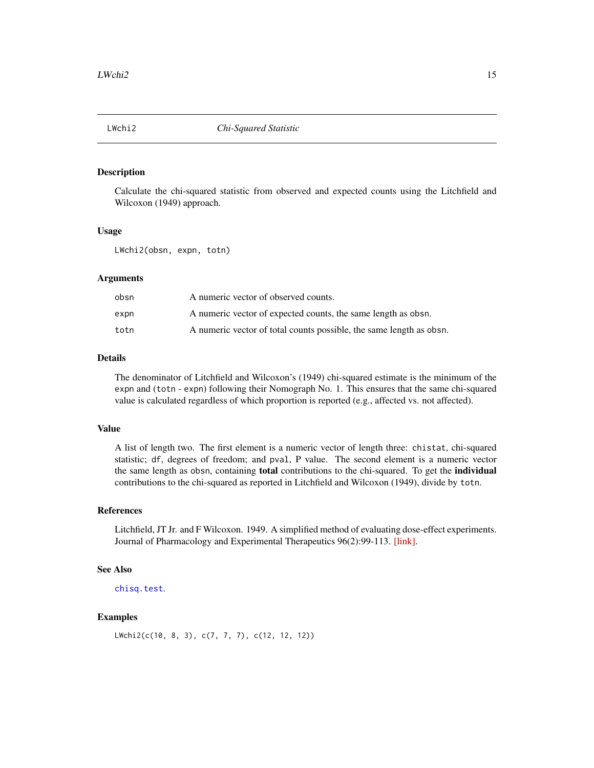<span id="page-14-1"></span><span id="page-14-0"></span>

Calculate the chi-squared statistic from observed and expected counts using the Litchfield and Wilcoxon (1949) approach.

#### Usage

LWchi2(obsn, expn, totn)

#### Arguments

| obsn | A numeric vector of observed counts.                                |
|------|---------------------------------------------------------------------|
| expn | A numeric vector of expected counts, the same length as obsn.       |
| totn | A numeric vector of total counts possible, the same length as obsn. |

# Details

The denominator of Litchfield and Wilcoxon's (1949) chi-squared estimate is the minimum of the expn and (totn - expn) following their Nomograph No. 1. This ensures that the same chi-squared value is calculated regardless of which proportion is reported (e.g., affected vs. not affected).

#### Value

A list of length two. The first element is a numeric vector of length three: chistat, chi-squared statistic; df, degrees of freedom; and pval, P value. The second element is a numeric vector the same length as obsn, containing total contributions to the chi-squared. To get the individual contributions to the chi-squared as reported in Litchfield and Wilcoxon (1949), divide by totn.

# References

Litchfield, JT Jr. and F Wilcoxon. 1949. A simplified method of evaluating dose-effect experiments. Journal of Pharmacology and Experimental Therapeutics 96(2):99-113. [\[link\].](http://jpet.aspetjournals.org/content/96/2/99.abstract)

# See Also

```
chisq.test.
```
#### Examples

LWchi2(c(10, 8, 3), c(7, 7, 7), c(12, 12, 12))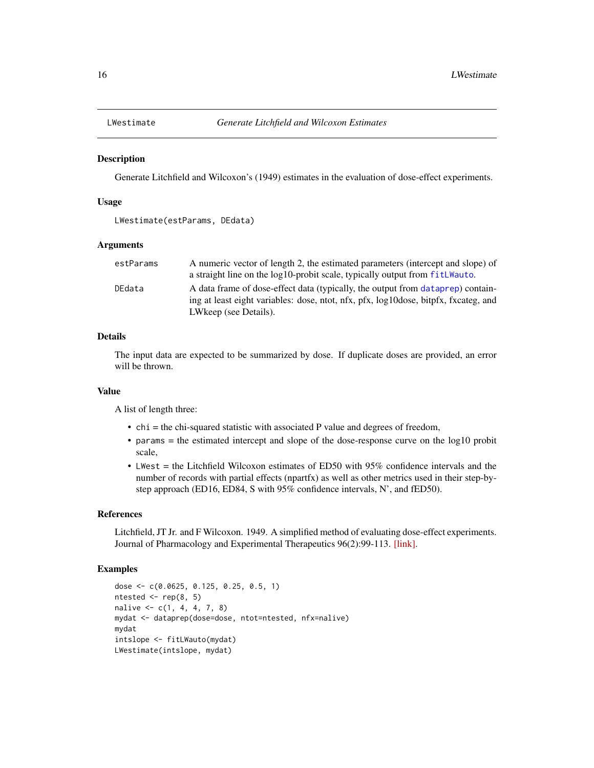<span id="page-15-1"></span><span id="page-15-0"></span>

Generate Litchfield and Wilcoxon's (1949) estimates in the evaluation of dose-effect experiments.

#### Usage

```
LWestimate(estParams, DEdata)
```
#### Arguments

| estParams | A numeric vector of length 2, the estimated parameters (intercept and slope) of     |
|-----------|-------------------------------------------------------------------------------------|
|           | a straight line on the log10-probit scale, typically output from fitLWauto.         |
| DEdata    | A data frame of dose-effect data (typically, the output from dataprep) contain-     |
|           | ing at least eight variables: dose, ntot, nfx, pfx, log10dose, bitpfx, fxcateg, and |
|           | LWkeep (see Details).                                                               |

# Details

The input data are expected to be summarized by dose. If duplicate doses are provided, an error will be thrown.

#### Value

A list of length three:

- chi = the chi-squared statistic with associated P value and degrees of freedom,
- params = the estimated intercept and slope of the dose-response curve on the log10 probit scale,
- LWest = the Litchfield Wilcoxon estimates of ED50 with 95% confidence intervals and the number of records with partial effects (npartfx) as well as other metrics used in their step-bystep approach (ED16, ED84, S with 95% confidence intervals, N', and fED50).

#### References

Litchfield, JT Jr. and F Wilcoxon. 1949. A simplified method of evaluating dose-effect experiments. Journal of Pharmacology and Experimental Therapeutics 96(2):99-113. [\[link\].](http://jpet.aspetjournals.org/content/96/2/99.abstract)

```
dose <- c(0.0625, 0.125, 0.25, 0.5, 1)
ntested <- rep(8, 5)
nalive <- c(1, 4, 4, 7, 8)
mydat <- dataprep(dose=dose, ntot=ntested, nfx=nalive)
mydat
intslope <- fitLWauto(mydat)
LWestimate(intslope, mydat)
```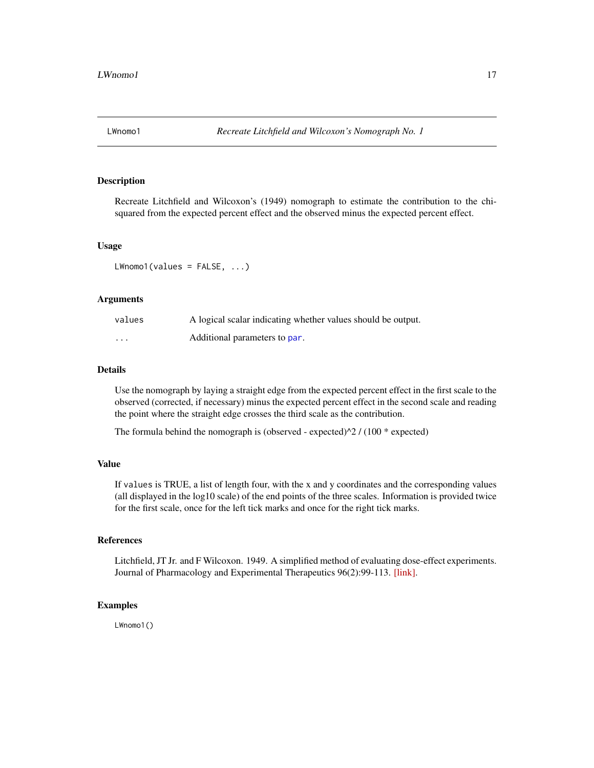<span id="page-16-0"></span>

Recreate Litchfield and Wilcoxon's (1949) nomograph to estimate the contribution to the chisquared from the expected percent effect and the observed minus the expected percent effect.

#### Usage

LWnomo1(values = FALSE, ...)

## Arguments

| values | A logical scalar indicating whether values should be output. |
|--------|--------------------------------------------------------------|
| .      | Additional parameters to par.                                |

# Details

Use the nomograph by laying a straight edge from the expected percent effect in the first scale to the observed (corrected, if necessary) minus the expected percent effect in the second scale and reading the point where the straight edge crosses the third scale as the contribution.

The formula behind the nomograph is (observed - expected) $\frac{1}{2}$  / (100 \* expected)

# Value

If values is TRUE, a list of length four, with the x and y coordinates and the corresponding values (all displayed in the log10 scale) of the end points of the three scales. Information is provided twice for the first scale, once for the left tick marks and once for the right tick marks.

# References

Litchfield, JT Jr. and F Wilcoxon. 1949. A simplified method of evaluating dose-effect experiments. Journal of Pharmacology and Experimental Therapeutics 96(2):99-113. [\[link\].](http://jpet.aspetjournals.org/content/96/2/99.abstract)

#### Examples

LWnomo1()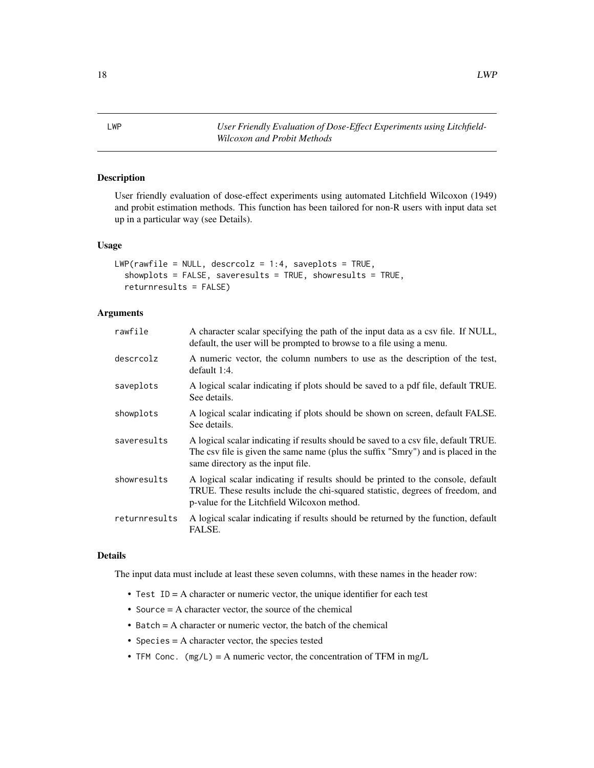<span id="page-17-0"></span>LWP *User Friendly Evaluation of Dose-Effect Experiments using Litchfield-Wilcoxon and Probit Methods*

# Description

User friendly evaluation of dose-effect experiments using automated Litchfield Wilcoxon (1949) and probit estimation methods. This function has been tailored for non-R users with input data set up in a particular way (see Details).

#### Usage

```
LWP(rawfile = NULL, descrcolz = 1:4, saveplots = TRUE,
  showplots = FALSE, saveresults = TRUE, showresults = TRUE,
  returnresults = FALSE)
```
#### Arguments

| rawfile       | A character scalar specifying the path of the input data as a csy file. If NULL,<br>default, the user will be prompted to browse to a file using a menu.                                                          |
|---------------|-------------------------------------------------------------------------------------------------------------------------------------------------------------------------------------------------------------------|
| descrcolz     | A numeric vector, the column numbers to use as the description of the test,<br>default 1:4.                                                                                                                       |
| saveplots     | A logical scalar indicating if plots should be saved to a pdf file, default TRUE.<br>See details.                                                                                                                 |
| showplots     | A logical scalar indicating if plots should be shown on screen, default FALSE.<br>See details.                                                                                                                    |
| saveresults   | A logical scalar indicating if results should be saved to a csv file, default TRUE.<br>The csv file is given the same name (plus the suffix "Smry") and is placed in the<br>same directory as the input file.     |
| showresults   | A logical scalar indicating if results should be printed to the console, default<br>TRUE. These results include the chi-squared statistic, degrees of freedom, and<br>p-value for the Litchfield Wilcoxon method. |
| returnresults | A logical scalar indicating if results should be returned by the function, default<br>FALSE.                                                                                                                      |

#### Details

The input data must include at least these seven columns, with these names in the header row:

- Test ID = A character or numeric vector, the unique identifier for each test
- Source  $=$  A character vector, the source of the chemical
- Batch = A character or numeric vector, the batch of the chemical
- Species = A character vector, the species tested
- TFM Conc.  $(mg/L) = A$  numeric vector, the concentration of TFM in mg/L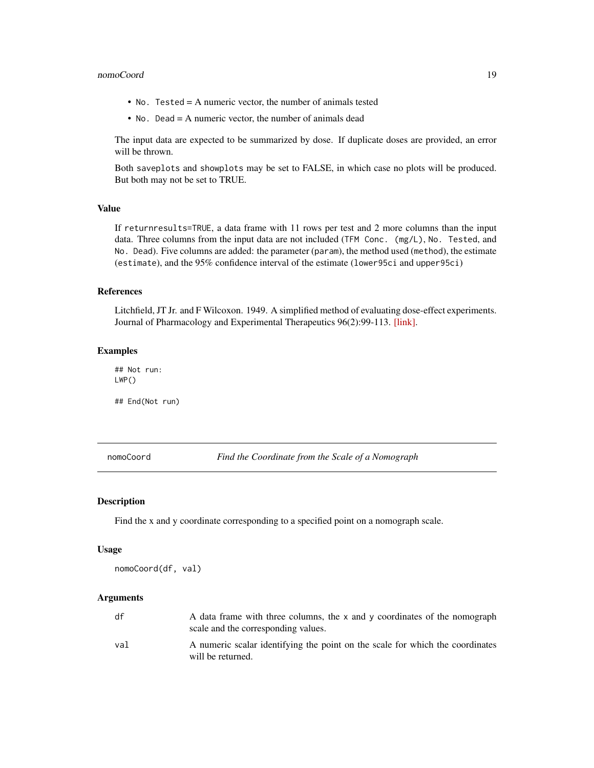#### <span id="page-18-0"></span>nomoCoord and the set of the set of the set of the set of the set of the set of the set of the set of the set of the set of the set of the set of the set of the set of the set of the set of the set of the set of the set of

- No. Tested = A numeric vector, the number of animals tested
- No. Dead = A numeric vector, the number of animals dead

The input data are expected to be summarized by dose. If duplicate doses are provided, an error will be thrown.

Both saveplots and showplots may be set to FALSE, in which case no plots will be produced. But both may not be set to TRUE.

# Value

If returnresults=TRUE, a data frame with 11 rows per test and 2 more columns than the input data. Three columns from the input data are not included (TFM Conc. (mg/L), No. Tested, and No. Dead). Five columns are added: the parameter (param), the method used (method), the estimate (estimate), and the 95% confidence interval of the estimate (lower95ci and upper95ci)

#### References

Litchfield, JT Jr. and F Wilcoxon. 1949. A simplified method of evaluating dose-effect experiments. Journal of Pharmacology and Experimental Therapeutics 96(2):99-113. [\[link\].](http://jpet.aspetjournals.org/content/96/2/99.abstract)

# Examples

## Not run: LWP()

## End(Not run)

nomoCoord *Find the Coordinate from the Scale of a Nomograph*

# **Description**

Find the x and y coordinate corresponding to a specified point on a nomograph scale.

#### Usage

nomoCoord(df, val)

# Arguments

| df  | A data frame with three columns, the x and y coordinates of the nomograph<br>scale and the corresponding values. |
|-----|------------------------------------------------------------------------------------------------------------------|
| val | A numeric scalar identifying the point on the scale for which the coordinates<br>will be returned.               |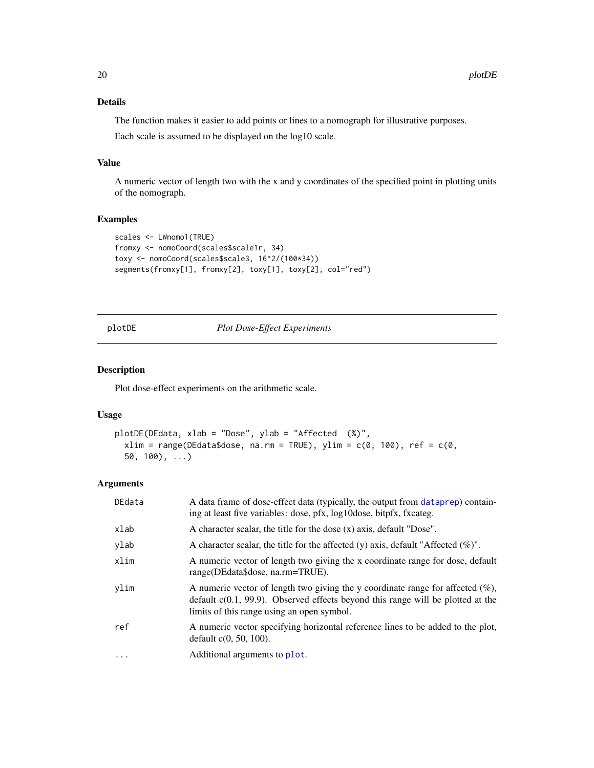# Details

The function makes it easier to add points or lines to a nomograph for illustrative purposes.

Each scale is assumed to be displayed on the log10 scale.

# Value

A numeric vector of length two with the x and y coordinates of the specified point in plotting units of the nomograph.

# Examples

```
scales <- LWnomo1(TRUE)
fromxy <- nomoCoord(scales$scale1r, 34)
toxy <- nomoCoord(scales$scale3, 16^2/(100*34))
segments(fromxy[1], fromxy[2], toxy[1], toxy[2], col="red")
```
<span id="page-19-1"></span>plotDE *Plot Dose-Effect Experiments*

### Description

Plot dose-effect experiments on the arithmetic scale.

# Usage

```
plotDE(DEdata, xlab = "Dose", ylab = "Affected (%)",
  xlim = range(DEdata$dose, na.rm = TRUE), ylim = c(\theta, 100), ref = c(\theta,50, 100), \ldots
```
#### Arguments

| DEdata | A data frame of dose-effect data (typically, the output from dataprep) contain-<br>ing at least five variables: dose, pfx, log10dose, bitpfx, fxcateg.                                                                |
|--------|-----------------------------------------------------------------------------------------------------------------------------------------------------------------------------------------------------------------------|
| xlab   | A character scalar, the title for the dose (x) axis, default "Dose".                                                                                                                                                  |
| ylab   | A character scalar, the title for the affected (y) axis, default "Affected $(\%)$ ".                                                                                                                                  |
| xlim   | A numeric vector of length two giving the x coordinate range for dose, default<br>range(DEdata\$dose, na.rm=TRUE).                                                                                                    |
| ylim   | A numeric vector of length two giving the y coordinate range for affected $(\%),$<br>default $c(0.1, 99.9)$ . Observed effects beyond this range will be plotted at the<br>limits of this range using an open symbol. |
| ref    | A numeric vector specifying horizontal reference lines to be added to the plot,<br>default $c(0, 50, 100)$ .                                                                                                          |
| .      | Additional arguments to plot.                                                                                                                                                                                         |

<span id="page-19-0"></span>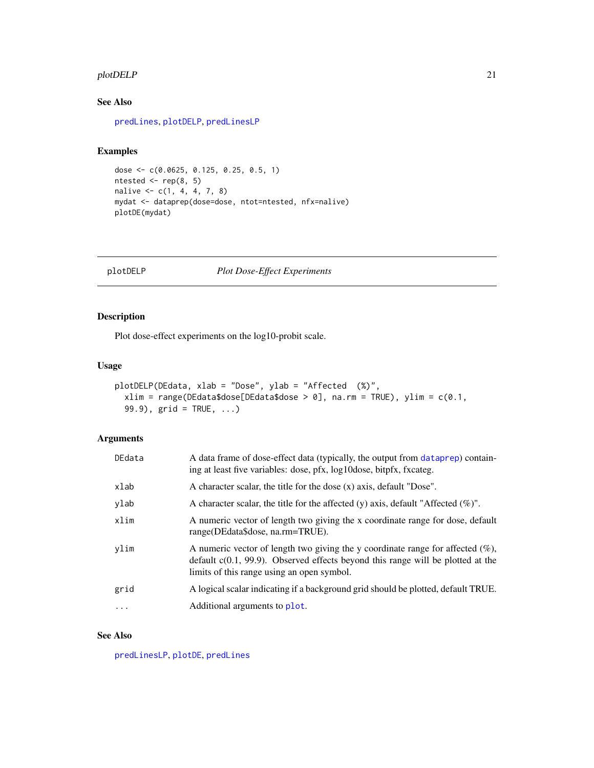#### <span id="page-20-0"></span>plotDELP 21

# See Also

[predLines](#page-22-1), [plotDELP](#page-20-1), [predLinesLP](#page-23-1)

# Examples

```
dose <- c(0.0625, 0.125, 0.25, 0.5, 1)
ntested \leq rep(8, 5)
nalive <- c(1, 4, 4, 7, 8)
mydat <- dataprep(dose=dose, ntot=ntested, nfx=nalive)
plotDE(mydat)
```
# <span id="page-20-1"></span>plotDELP *Plot Dose-Effect Experiments*

# Description

Plot dose-effect experiments on the log10-probit scale.

#### Usage

```
plotDELP(DEdata, xlab = "Dose", ylab = "Affected (%)",
  xlim = range(DEdata\{does}[DEdata\{does}[0]) = 0], na.rm = TRUE), ylim = c(0.1,99.9), grid = TRUE, ...)
```
# Arguments

| DEdata   | A data frame of dose-effect data (typically, the output from dataprep) contain-<br>ing at least five variables: dose, pfx, log10dose, bitpfx, fxcateg.                                                                |
|----------|-----------------------------------------------------------------------------------------------------------------------------------------------------------------------------------------------------------------------|
| xlab     | A character scalar, the title for the dose (x) axis, default "Dose".                                                                                                                                                  |
| ylab     | A character scalar, the title for the affected (y) axis, default "Affected $(\%)$ ".                                                                                                                                  |
| xlim     | A numeric vector of length two giving the x coordinate range for dose, default<br>range(DEdata\$dose, na.rm=TRUE).                                                                                                    |
| ylim     | A numeric vector of length two giving the y coordinate range for affected $(\%),$<br>default $c(0.1, 99.9)$ . Observed effects beyond this range will be plotted at the<br>limits of this range using an open symbol. |
| grid     | A logical scalar indicating if a background grid should be plotted, default TRUE.                                                                                                                                     |
| $\cdots$ | Additional arguments to plot.                                                                                                                                                                                         |

## See Also

[predLinesLP](#page-23-1), [plotDE](#page-19-1), [predLines](#page-22-1)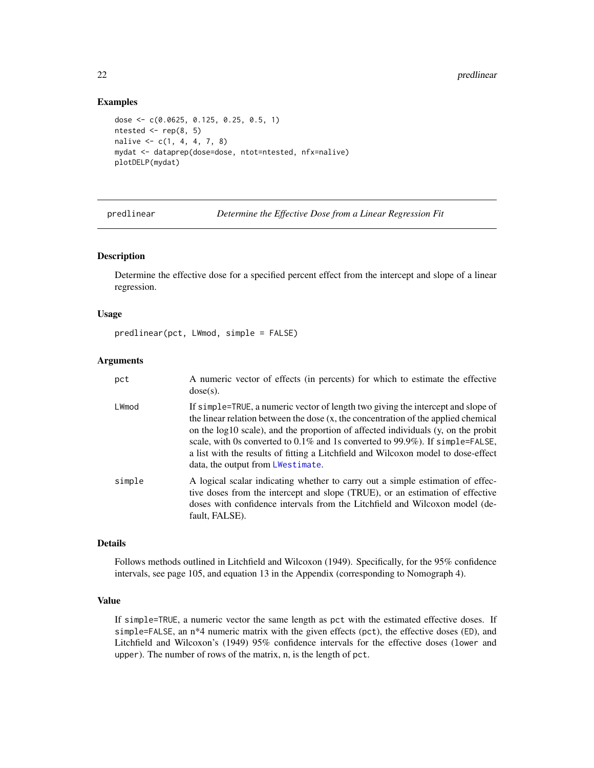#### Examples

```
dose <- c(0.0625, 0.125, 0.25, 0.5, 1)
ntested \leq rep(8, 5)
nalive \leq c(1, 4, 4, 7, 8)mydat <- dataprep(dose=dose, ntot=ntested, nfx=nalive)
plotDELP(mydat)
```
predlinear *Determine the Effective Dose from a Linear Regression Fit*

# Description

Determine the effective dose for a specified percent effect from the intercept and slope of a linear regression.

# Usage

```
predlinear(pct, LWmod, simple = FALSE)
```
#### Arguments

| pct    | A numeric vector of effects (in percents) for which to estimate the effective<br>$dose(s)$ .                                                                                                                                                                                                                                                                                                                                                                              |
|--------|---------------------------------------------------------------------------------------------------------------------------------------------------------------------------------------------------------------------------------------------------------------------------------------------------------------------------------------------------------------------------------------------------------------------------------------------------------------------------|
| LWmod  | If simple=TRUE, a numeric vector of length two giving the intercept and slope of<br>the linear relation between the dose (x, the concentration of the applied chemical<br>on the log10 scale), and the proportion of affected individuals (y, on the probit<br>scale, with 0s converted to $0.1\%$ and 1s converted to 99.9%). If simple=FALSE,<br>a list with the results of fitting a Litchfield and Wilcoxon model to dose-effect<br>data, the output from LWestimate. |
| simple | A logical scalar indicating whether to carry out a simple estimation of effec-<br>tive doses from the intercept and slope (TRUE), or an estimation of effective<br>doses with confidence intervals from the Litchfield and Wilcoxon model (de-<br>fault, FALSE).                                                                                                                                                                                                          |

#### Details

Follows methods outlined in Litchfield and Wilcoxon (1949). Specifically, for the 95% confidence intervals, see page 105, and equation 13 in the Appendix (corresponding to Nomograph 4).

#### Value

If simple=TRUE, a numeric vector the same length as pct with the estimated effective doses. If simple=FALSE, an n\*4 numeric matrix with the given effects (pct), the effective doses (ED), and Litchfield and Wilcoxon's (1949) 95% confidence intervals for the effective doses (lower and upper). The number of rows of the matrix, n, is the length of pct.

<span id="page-21-0"></span>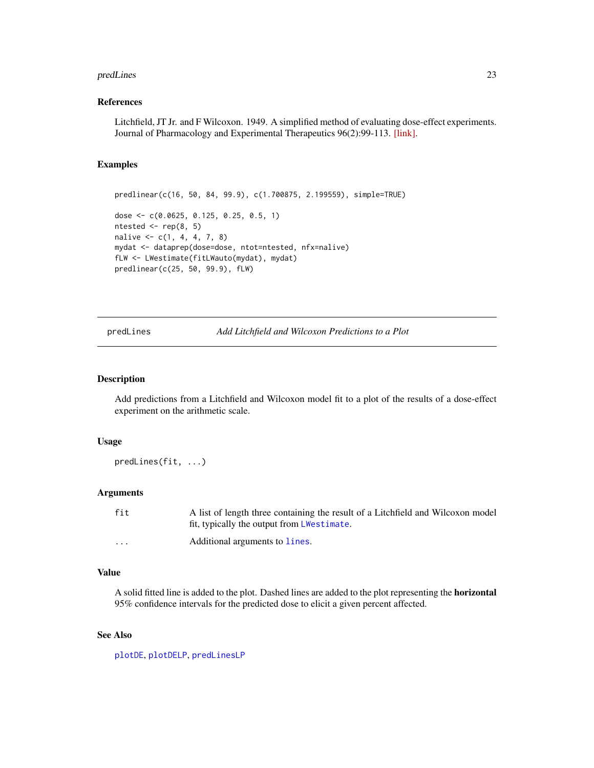#### <span id="page-22-0"></span>predLines 23

# References

Litchfield, JT Jr. and F Wilcoxon. 1949. A simplified method of evaluating dose-effect experiments. Journal of Pharmacology and Experimental Therapeutics 96(2):99-113. [\[link\].](http://jpet.aspetjournals.org/content/96/2/99.abstract)

# Examples

```
predlinear(c(16, 50, 84, 99.9), c(1.700875, 2.199559), simple=TRUE)
dose <- c(0.0625, 0.125, 0.25, 0.5, 1)
ntested \leq rep(8, 5)
nalive <- c(1, 4, 4, 7, 8)
mydat <- dataprep(dose=dose, ntot=ntested, nfx=nalive)
fLW <- LWestimate(fitLWauto(mydat), mydat)
predlinear(c(25, 50, 99.9), fLW)
```
<span id="page-22-1"></span>predLines *Add Litchfield and Wilcoxon Predictions to a Plot*

#### Description

Add predictions from a Litchfield and Wilcoxon model fit to a plot of the results of a dose-effect experiment on the arithmetic scale.

#### Usage

predLines(fit, ...)

#### Arguments

| fit      | A list of length three containing the result of a Litchfield and Wilcoxon model |
|----------|---------------------------------------------------------------------------------|
|          | fit, typically the output from LWestimate.                                      |
| $\cdots$ | Additional arguments to lines.                                                  |

#### Value

A solid fitted line is added to the plot. Dashed lines are added to the plot representing the horizontal 95% confidence intervals for the predicted dose to elicit a given percent affected.

#### See Also

[plotDE](#page-19-1), [plotDELP](#page-20-1), [predLinesLP](#page-23-1)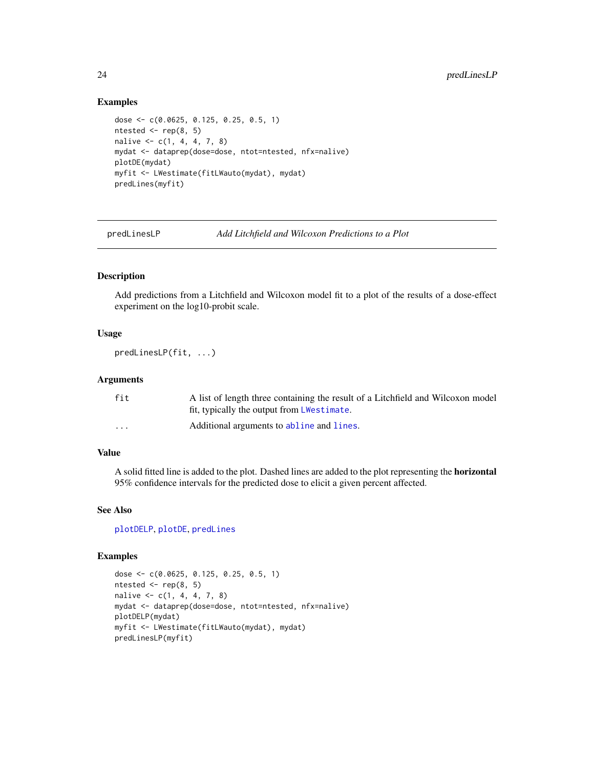## Examples

```
dose <- c(0.0625, 0.125, 0.25, 0.5, 1)
ntested \leq rep(8, 5)
nalive \leq c(1, 4, 4, 7, 8)mydat <- dataprep(dose=dose, ntot=ntested, nfx=nalive)
plotDE(mydat)
myfit <- LWestimate(fitLWauto(mydat), mydat)
predLines(myfit)
```
<span id="page-23-1"></span>predLinesLP *Add Litchfield and Wilcoxon Predictions to a Plot*

#### Description

Add predictions from a Litchfield and Wilcoxon model fit to a plot of the results of a dose-effect experiment on the log10-probit scale.

#### Usage

predLinesLP(fit, ...)

# Arguments

| fit      | A list of length three containing the result of a Litchfield and Wilcoxon model |
|----------|---------------------------------------------------------------------------------|
|          | fit, typically the output from LWestimate.                                      |
| $\cdots$ | Additional arguments to abline and lines.                                       |

### Value

A solid fitted line is added to the plot. Dashed lines are added to the plot representing the horizontal 95% confidence intervals for the predicted dose to elicit a given percent affected.

#### See Also

[plotDELP](#page-20-1), [plotDE](#page-19-1), [predLines](#page-22-1)

```
dose <- c(0.0625, 0.125, 0.25, 0.5, 1)
ntested <- rep(8, 5)
nalive \leq c(1, 4, 4, 7, 8)mydat <- dataprep(dose=dose, ntot=ntested, nfx=nalive)
plotDELP(mydat)
myfit <- LWestimate(fitLWauto(mydat), mydat)
predLinesLP(myfit)
```
<span id="page-23-0"></span>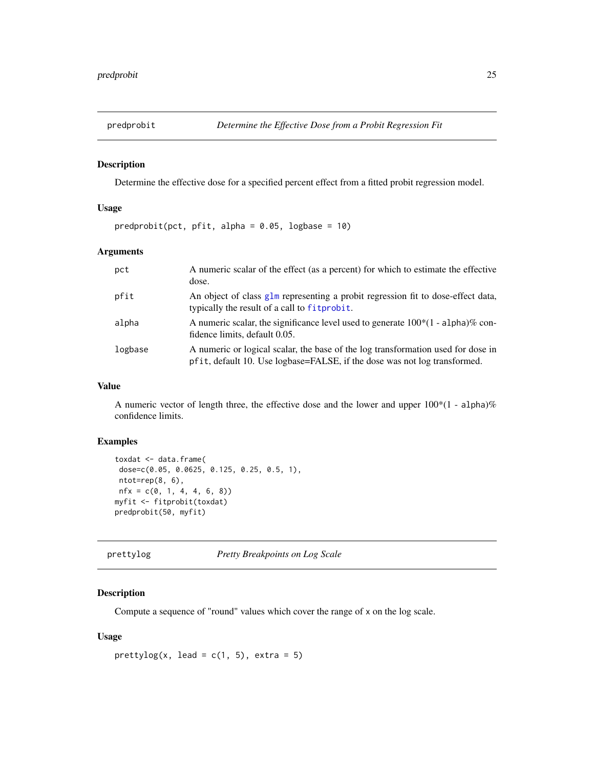<span id="page-24-0"></span>

Determine the effective dose for a specified percent effect from a fitted probit regression model.

# Usage

 $predprobit(pct, pfit, alpha = 0.05, logbase = 10)$ 

# Arguments

| pct     | A numeric scalar of the effect (as a percent) for which to estimate the effective<br>dose.                                                                    |
|---------|---------------------------------------------------------------------------------------------------------------------------------------------------------------|
| pfit    | An object of class glm representing a probit regression fit to dose-effect data,<br>typically the result of a call to fitprobit.                              |
| alpha   | A numeric scalar, the significance level used to generate $100*(1 - \text{alpha})\%$ con-<br>fidence limits, default 0.05.                                    |
| logbase | A numeric or logical scalar, the base of the log transformation used for dose in<br>pfit, default 10. Use logbase=FALSE, if the dose was not log transformed. |

# Value

A numeric vector of length three, the effective dose and the lower and upper 100\*(1 - alpha)% confidence limits.

# Examples

```
toxdat <- data.frame(
dose=c(0.05, 0.0625, 0.125, 0.25, 0.5, 1),
ntot=rep(8, 6),
nfx = c(0, 1, 4, 4, 6, 8))myfit <- fitprobit(toxdat)
predprobit(50, myfit)
```
prettylog *Pretty Breakpoints on Log Scale*

#### Description

Compute a sequence of "round" values which cover the range of x on the log scale.

#### Usage

```
prettylog(x, lead = c(1, 5), extra = 5)
```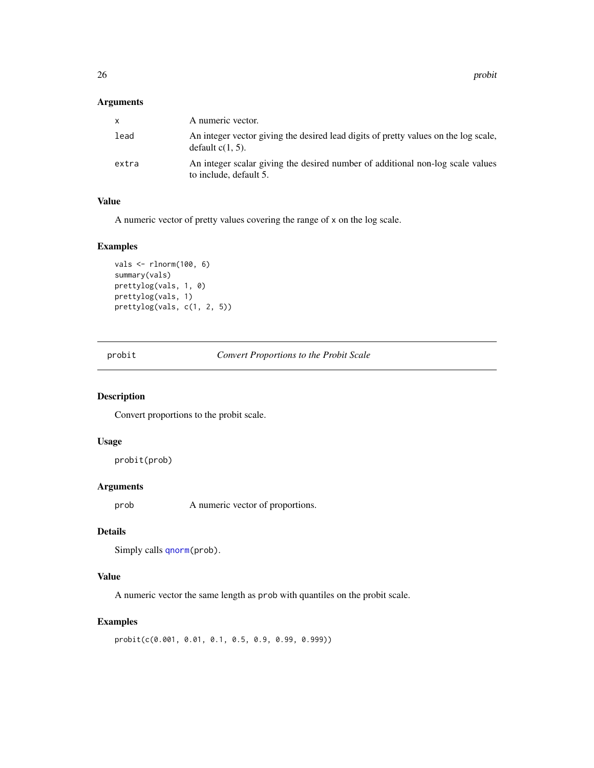<span id="page-25-0"></span>26 probit that the contract of the contract of the contract of the contract of the contract of the contract of the contract of the contract of the contract of the contract of the contract of the contract of the contract of

## Arguments

| x.    | A numeric vector.                                                                                          |
|-------|------------------------------------------------------------------------------------------------------------|
| lead  | An integer vector giving the desired lead digits of pretty values on the log scale,<br>default $c(1, 5)$ . |
| extra | An integer scalar giving the desired number of additional non-log scale values<br>to include, default 5.   |

# Value

A numeric vector of pretty values covering the range of x on the log scale.

# Examples

```
vals <- rlnorm(100, 6)
summary(vals)
prettylog(vals, 1, 0)
prettylog(vals, 1)
prettylog(vals, c(1, 2, 5))
```
<span id="page-25-1"></span>probit *Convert Proportions to the Probit Scale*

# Description

Convert proportions to the probit scale.

# Usage

```
probit(prob)
```
# Arguments

prob A numeric vector of proportions.

# Details

```
qnorm(prob).
```
# Value

A numeric vector the same length as prob with quantiles on the probit scale.

# Examples

probit(c(0.001, 0.01, 0.1, 0.5, 0.9, 0.99, 0.999))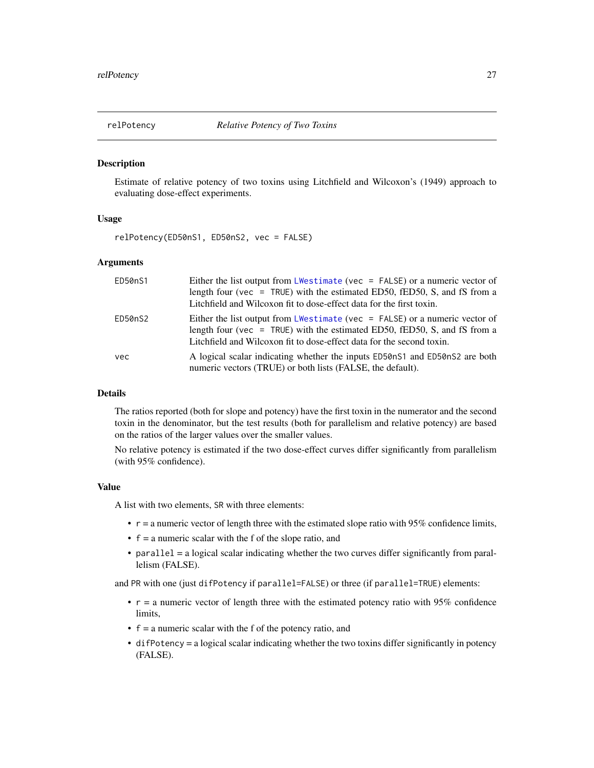<span id="page-26-0"></span>

Estimate of relative potency of two toxins using Litchfield and Wilcoxon's (1949) approach to evaluating dose-effect experiments.

# Usage

relPotency(ED50nS1, ED50nS2, vec = FALSE)

### Arguments

| ED50nS1 | Either the list output from LWestimate (vec = $FALSE$ ) or a numeric vector of<br>length four ( $vec = TRUE$ ) with the estimated ED50, fED50, S, and fS from a<br>Litchfield and Wilcoxon fit to dose-effect data for the first toxin.  |
|---------|------------------------------------------------------------------------------------------------------------------------------------------------------------------------------------------------------------------------------------------|
| ED50nS2 | Either the list output from LWestimate ( $vec =$ FALSE) or a numeric vector of<br>length four ( $vec = TRUE$ ) with the estimated ED50, fED50, S, and fS from a<br>Litchfield and Wilcoxon fit to dose-effect data for the second toxin. |
| vec     | A logical scalar indicating whether the inputs ED50nS1 and ED50nS2 are both<br>numeric vectors (TRUE) or both lists (FALSE, the default).                                                                                                |

#### Details

The ratios reported (both for slope and potency) have the first toxin in the numerator and the second toxin in the denominator, but the test results (both for parallelism and relative potency) are based on the ratios of the larger values over the smaller values.

No relative potency is estimated if the two dose-effect curves differ significantly from parallelism (with 95% confidence).

#### Value

A list with two elements, SR with three elements:

- $\cdot$   $\mathbf{r}$  = a numeric vector of length three with the estimated slope ratio with 95% confidence limits,
- $\bullet$  f = a numeric scalar with the f of the slope ratio, and
- parallel = a logical scalar indicating whether the two curves differ significantly from parallelism (FALSE).

and PR with one (just difPotency if parallel=FALSE) or three (if parallel=TRUE) elements:

- $\bullet$  r = a numeric vector of length three with the estimated potency ratio with 95% confidence limits,
- $\bullet$  f = a numeric scalar with the f of the potency ratio, and
- difPotency = a logical scalar indicating whether the two toxins differ significantly in potency (FALSE).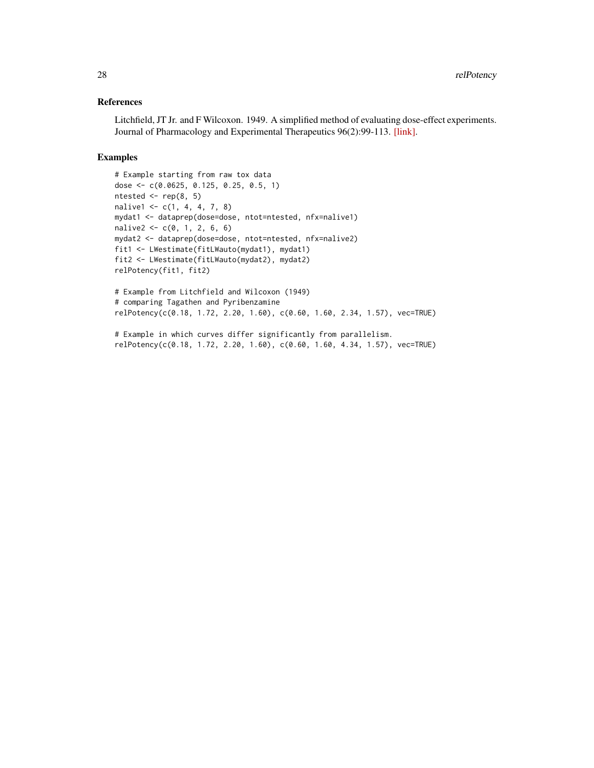# References

Litchfield, JT Jr. and F Wilcoxon. 1949. A simplified method of evaluating dose-effect experiments. Journal of Pharmacology and Experimental Therapeutics 96(2):99-113. [\[link\].](http://jpet.aspetjournals.org/content/96/2/99.abstract)

# Examples

```
# Example starting from raw tox data
dose <- c(0.0625, 0.125, 0.25, 0.5, 1)
ntested <- rep(8, 5)
nalive1 <- c(1, 4, 4, 7, 8)mydat1 <- dataprep(dose=dose, ntot=ntested, nfx=nalive1)
nalive2 <- c(0, 1, 2, 6, 6)mydat2 <- dataprep(dose=dose, ntot=ntested, nfx=nalive2)
fit1 <- LWestimate(fitLWauto(mydat1), mydat1)
fit2 <- LWestimate(fitLWauto(mydat2), mydat2)
relPotency(fit1, fit2)
# Example from Litchfield and Wilcoxon (1949)
# comparing Tagathen and Pyribenzamine
relPotency(c(0.18, 1.72, 2.20, 1.60), c(0.60, 1.60, 2.34, 1.57), vec=TRUE)
```
# Example in which curves differ significantly from parallelism. relPotency(c(0.18, 1.72, 2.20, 1.60), c(0.60, 1.60, 4.34, 1.57), vec=TRUE)